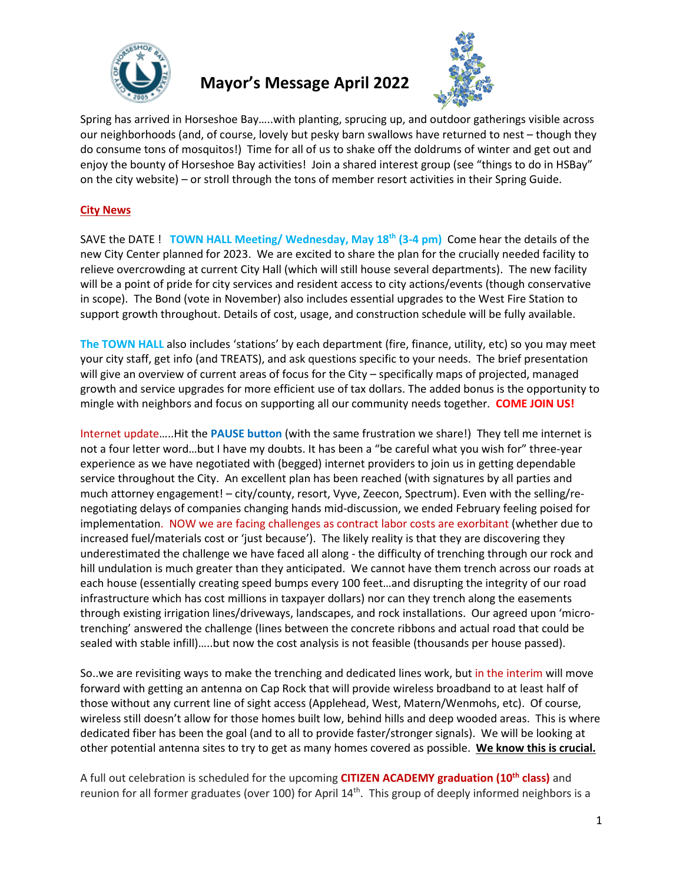

## **Mayor's Message April 2022**



Spring has arrived in Horseshoe Bay…..with planting, sprucing up, and outdoor gatherings visible across our neighborhoods (and, of course, lovely but pesky barn swallows have returned to nest – though they do consume tons of mosquitos!) Time for all of us to shake off the doldrums of winter and get out and enjoy the bounty of Horseshoe Bay activities! Join a shared interest group (see "things to do in HSBay" on the city website) – or stroll through the tons of member resort activities in their Spring Guide.

## **City News**

SAVE the DATE ! **TOWN HALL Meeting/ Wednesday, May 18th (3-4 pm)** Come hear the details of the new City Center planned for 2023. We are excited to share the plan for the crucially needed facility to relieve overcrowding at current City Hall (which will still house several departments). The new facility will be a point of pride for city services and resident access to city actions/events (though conservative in scope). The Bond (vote in November) also includes essential upgrades to the West Fire Station to support growth throughout. Details of cost, usage, and construction schedule will be fully available.

**The TOWN HALL** also includes 'stations' by each department (fire, finance, utility, etc) so you may meet your city staff, get info (and TREATS), and ask questions specific to your needs. The brief presentation will give an overview of current areas of focus for the City – specifically maps of projected, managed growth and service upgrades for more efficient use of tax dollars. The added bonus is the opportunity to mingle with neighbors and focus on supporting all our community needs together. **COME JOIN US!**

Internet update…..Hit the **PAUSE button** (with the same frustration we share!) They tell me internet is not a four letter word…but I have my doubts. It has been a "be careful what you wish for" three-year experience as we have negotiated with (begged) internet providers to join us in getting dependable service throughout the City. An excellent plan has been reached (with signatures by all parties and much attorney engagement! – city/county, resort, Vyve, Zeecon, Spectrum). Even with the selling/renegotiating delays of companies changing hands mid-discussion, we ended February feeling poised for implementation. NOW we are facing challenges as contract labor costs are exorbitant (whether due to increased fuel/materials cost or 'just because'). The likely reality is that they are discovering they underestimated the challenge we have faced all along - the difficulty of trenching through our rock and hill undulation is much greater than they anticipated. We cannot have them trench across our roads at each house (essentially creating speed bumps every 100 feet…and disrupting the integrity of our road infrastructure which has cost millions in taxpayer dollars) nor can they trench along the easements through existing irrigation lines/driveways, landscapes, and rock installations. Our agreed upon 'microtrenching' answered the challenge (lines between the concrete ribbons and actual road that could be sealed with stable infill)…..but now the cost analysis is not feasible (thousands per house passed).

So..we are revisiting ways to make the trenching and dedicated lines work, but in the interim will move forward with getting an antenna on Cap Rock that will provide wireless broadband to at least half of those without any current line of sight access (Applehead, West, Matern/Wenmohs, etc). Of course, wireless still doesn't allow for those homes built low, behind hills and deep wooded areas. This is where dedicated fiber has been the goal (and to all to provide faster/stronger signals). We will be looking at other potential antenna sites to try to get as many homes covered as possible. **We know this is crucial.**

A full out celebration is scheduled for the upcoming **CITIZEN ACADEMY graduation (10th class)** and reunion for all former graduates (over 100) for April  $14<sup>th</sup>$ . This group of deeply informed neighbors is a